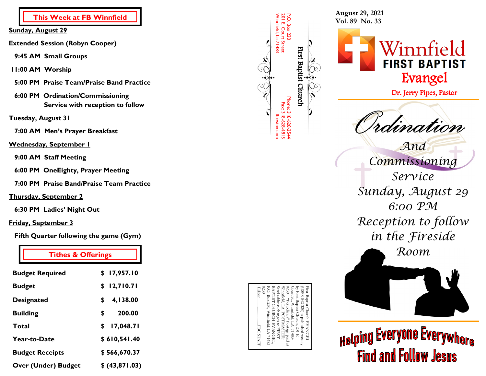**This Week at FB Winnfield**

**Sunday, August 29**

**Extended Session (Robyn Cooper)** 

- **9:45 AM Small Groups**
- **11:00 AM Worship**
- **5:00 PM Praise Team/Praise Band Practice**
- **6:00 PM Ordination/Commissioning Service with reception to follow**

## **Tuesday, August 31**

 **7:00 AM Men's Prayer Breakfast**

## **Wednesday, September 1**

 **9:00 AM Staff Meeting**

 **6:00 PM OneEighty, Prayer Meeting** 

 **7:00 PM Praise Band/Praise Team Practice**

## **Thursday, September 2**

 **6:30 PM Ladies' Night Out**

# **Friday, September 3**

 **Fifth Quarter following the game (Gym)**

| <b>Tithes &amp; Offerings</b> |                 |                                                                 | Room                                |
|-------------------------------|-----------------|-----------------------------------------------------------------|-------------------------------------|
| <b>Budget Required</b>        | \$17,957.10     |                                                                 |                                     |
| <b>Budget</b>                 | \$12,710.71     | First                                                           |                                     |
| <b>Designated</b>             | 4,138.00<br>\$  | First Baptist<br>(USPS 042-3:<br>First Baptist                  |                                     |
| <b>Building</b>               | 200.00<br>\$    | 320)<br>Church                                                  |                                     |
| <b>Total</b>                  | 17,048.71<br>\$ | published<br>口                                                  |                                     |
| Year-to-Date                  | \$610,541.40    | <b>ANGEL</b><br><b>STAFF</b><br>$\operatorname{weekly}$<br>1483 | <sub>Helping</sub> Everyone Ex      |
| <b>Budget Receipts</b>        | \$566,670.37    |                                                                 | <b>Follow</b><br>Find<br><b>and</b> |
| <b>Over (Under) Budget</b>    | \$ (43,871.03)  |                                                                 |                                     |

| P.O. Box 230<br>First Baptist Church<br>Phone: 318-628-354 | Court St., Winnfield, LA 71483-<br>by First Baptist Church, 201 E.<br>(USPS 042-320) is published weekly<br>First Baptist Church EVANGEL |
|------------------------------------------------------------|------------------------------------------------------------------------------------------------------------------------------------------|
|                                                            | 0230. "Periodicals" Postage paid at                                                                                                      |
| 201 E. Court Street<br>Fax: 318-628-481!                   | Winnfield, LA. POSTMASTER:                                                                                                               |
| Winnfield, La 71483<br>fbcwinn.con                         | Send address changes to FIRST                                                                                                            |
|                                                            | <b>BAPTIST CHURCH EVANGEL</b>                                                                                                            |
| $\mathcal{L}$<br>$\stackrel{\cdot}{\mathfrak{c}}$          | P.O. Box 230, Winnfield, LA 71483-                                                                                                       |
|                                                            | 0230                                                                                                                                     |
|                                                            |                                                                                                                                          |
|                                                            |                                                                                                                                          |

**August 29, 2021 Vol. 89 No. 33**



Dr. Jerry Pipes, Pastor

idination

*And* 

*Commissioning Service Sunday, August 29 6:00 PM Reception to follow in the Fireside* 

**Helping Everyone Everywhere Find and Follow Jesus**